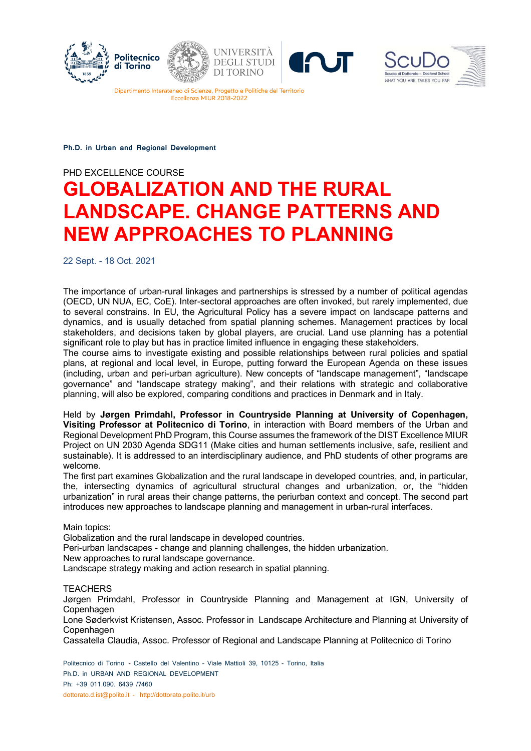







Dipartimento Interateneo di Scienze, Progetto e Politiche del Territorio Eccellenza MIUR 2018-2022

**Ph.D. in Urban and Regional Development**

# PHD EXCELLENCE COURSE **GLOBALIZATION AND THE RURAL LANDSCAPE. CHANGE PATTERNS AND NEW APPROACHES TO PLANNING**

22 Sept. - 18 Oct. 2021

The importance of urban-rural linkages and partnerships is stressed by a number of political agendas (OECD, UN NUA, EC, CoE). Inter-sectoral approaches are often invoked, but rarely implemented, due to several constrains. In EU, the Agricultural Policy has a severe impact on landscape patterns and dynamics, and is usually detached from spatial planning schemes. Management practices by local stakeholders, and decisions taken by global players, are crucial. Land use planning has a potential significant role to play but has in practice limited influence in engaging these stakeholders.

The course aims to investigate existing and possible relationships between rural policies and spatial plans, at regional and local level, in Europe, putting forward the European Agenda on these issues (including, urban and peri-urban agriculture). New concepts of "landscape management", "landscape governance" and "landscape strategy making", and their relations with strategic and collaborative planning, will also be explored, comparing conditions and practices in Denmark and in Italy.

Held by **Jørgen Primdahl, Professor in Countryside Planning at University of Copenhagen, Visiting Professor at Politecnico di Torino**, in interaction with Board members of the Urban and Regional Development PhD Program, this Course assumes the framework of the DIST Excellence MIUR Project on UN 2030 Agenda SDG11 (Make cities and human settlements inclusive, safe, resilient and sustainable). It is addressed to an interdisciplinary audience, and PhD students of other programs are welcome.

The first part examines Globalization and the rural landscape in developed countries, and, in particular, the, intersecting dynamics of agricultural structural changes and urbanization, or, the "hidden urbanization" in rural areas their change patterns, the periurban context and concept. The second part introduces new approaches to landscape planning and management in urban-rural interfaces.

Main topics:

Globalization and the rural landscape in developed countries.

Peri-urban landscapes - change and planning challenges, the hidden urbanization.

New approaches to rural landscape governance.

Landscape strategy making and action research in spatial planning.

#### **TEACHERS**

Jørgen Primdahl, Professor in Countryside Planning and Management at IGN, University of Copenhagen

Lone Søderkvist Kristensen, Assoc. Professor in Landscape Architecture and Planning at University of **Copenhagen** 

Cassatella Claudia, Assoc. Professor of Regional and Landscape Planning at Politecnico di Torino

Politecnico di Torino - Castello del Valentino – Viale Mattioli 39, 10125 - Torino, Italia Ph.D. in URBAN AND REGIONAL DEVELOPMENT Ph: +39 011.090. 6439 /7460 dottorato.d.ist@polito.it - http://dottorato.polito.it/urb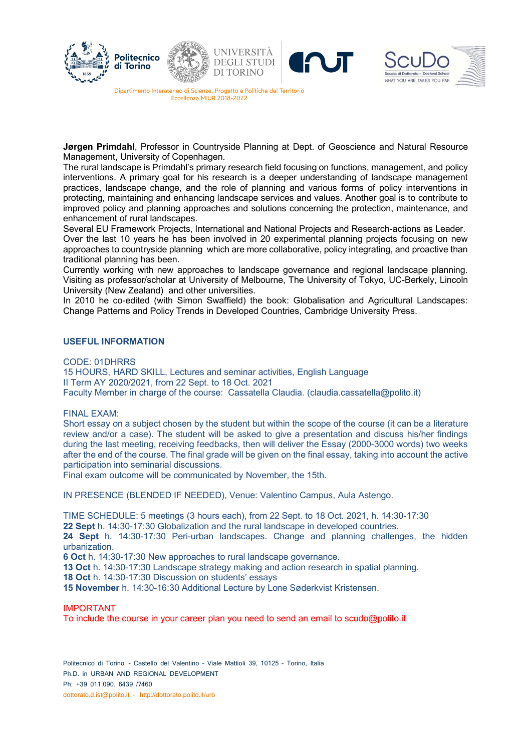

Eccellenza MIUR 2018-2022

**Jørgen Primdahl**, Professor in Countryside Planning at Dept. of Geoscience and Natural Resource Management, University of Copenhagen.

The rural landscape is Primdahl's primary research field focusing on functions, management, and policy interventions. A primary goal for his research is a deeper understanding of landscape management practices, landscape change, and the role of planning and various forms of policy interventions in protecting, maintaining and enhancing landscape services and values. Another goal is to contribute to improved policy and planning approaches and solutions concerning the protection, maintenance, and enhancement of rural landscapes.

Several EU Framework Projects, International and National Projects and Research-actions as Leader. Over the last 10 years he has been involved in 20 experimental planning projects focusing on new approaches to countryside planning which are more collaborative, policy integrating, and proactive than traditional planning has been.

Currently working with new approaches to landscape governance and regional landscape planning. Visiting as professor/scholar at University of Melbourne, The University of Tokyo, UC-Berkely, Lincoln University (New Zealand) and other universities.

In 2010 he co-edited (with Simon Swaffield) the book: Globalisation and Agricultural Landscapes: Change Patterns and Policy Trends in Developed Countries, Cambridge University Press.

### **USEFUL INFORMATION**

CODE: 01DHRRS

15 HOURS, HARD SKILL, Lectures and seminar activities, English Language II Term AY 2020/2021, from 22 Sept. to 18 Oct. 2021 Faculty Member in charge of the course: Cassatella Claudia. (claudia.cassatella@polito.it)

#### FINAL EXAM:

Short essay on a subject chosen by the student but within the scope of the course (it can be a literature review and/or a case). The student will be asked to give a presentation and discuss his/her findings during the last meeting, receiving feedbacks, then will deliver the Essay (2000-3000 words) two weeks after the end of the course. The final grade will be given on the final essay, taking into account the active participation into seminarial discussions.

Final exam outcome will be communicated by November, the 15th.

IN PRESENCE (BLENDED IF NEEDED), Venue: Valentino Campus, Aula Astengo.

TIME SCHEDULE: 5 meetings (3 hours each), from 22 Sept. to 18 Oct. 2021, h. 14:30-17:30 **22 Sept** h. 14:30-17:30 Globalization and the rural landscape in developed countries.

**24 Sept** h. 14:30-17:30 Peri-urban landscapes. Change and planning challenges, the hidden urbanization.

**6 Oct** h. 14:30-17:30 New approaches to rural landscape governance.

**13 Oct** h. 14:30-17:30 Landscape strategy making and action research in spatial planning.

**18 Oct** h. 14:30-17:30 Discussion on students' essays

**15 November** h. 14:30-16:30 Additional Lecture by Lone Søderkvist Kristensen.

#### IMPORTANT

To include the course in your career plan you need to send an email to scudo@polito.it

Politecnico di Torino - Castello del Valentino – Viale Mattioli 39, 10125 - Torino, Italia Ph.D. in URBAN AND REGIONAL DEVELOPMENT Ph: +39 011.090. 6439 /7460 dottorato.d.ist@polito.it - http://dottorato.polito.it/urb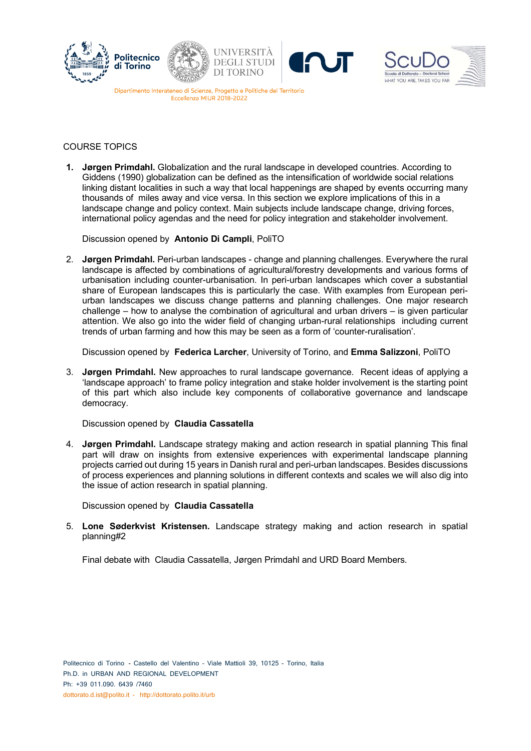

## COURSE TOPICS

**1. Jørgen Primdahl.** Globalization and the rural landscape in developed countries. According to Giddens (1990) globalization can be defined as the intensification of worldwide social relations linking distant localities in such a way that local happenings are shaped by events occurring many thousands of miles away and vice versa. In this section we explore implications of this in a landscape change and policy context. Main subjects include landscape change, driving forces, international policy agendas and the need for policy integration and stakeholder involvement.

Discussion opened by **Antonio Di Campli**, PoliTO

2. **Jørgen Primdahl.** Peri-urban landscapes - change and planning challenges. Everywhere the rural landscape is affected by combinations of agricultural/forestry developments and various forms of urbanisation including counter-urbanisation. In peri-urban landscapes which cover a substantial share of European landscapes this is particularly the case. With examples from European periurban landscapes we discuss change patterns and planning challenges. One major research challenge – how to analyse the combination of agricultural and urban drivers – is given particular attention. We also go into the wider field of changing urban-rural relationships including current trends of urban farming and how this may be seen as a form of 'counter-ruralisation'.

Discussion opened by **Federica Larcher**, University of Torino, and **Emma Salizzoni**, PoliTO

3. **Jørgen Primdahl.** New approaches to rural landscape governance. Recent ideas of applying a 'landscape approach' to frame policy integration and stake holder involvement is the starting point of this part which also include key components of collaborative governance and landscape democracy.

Discussion opened by **Claudia Cassatella**

4. **Jørgen Primdahl.** Landscape strategy making and action research in spatial planning This final part will draw on insights from extensive experiences with experimental landscape planning projects carried out during 15 years in Danish rural and peri-urban landscapes. Besides discussions of process experiences and planning solutions in different contexts and scales we will also dig into the issue of action research in spatial planning.

Discussion opened by **Claudia Cassatella**

5. **Lone Søderkvist Kristensen.** Landscape strategy making and action research in spatial planning#2

Final debate with Claudia Cassatella, Jørgen Primdahl and URD Board Members.